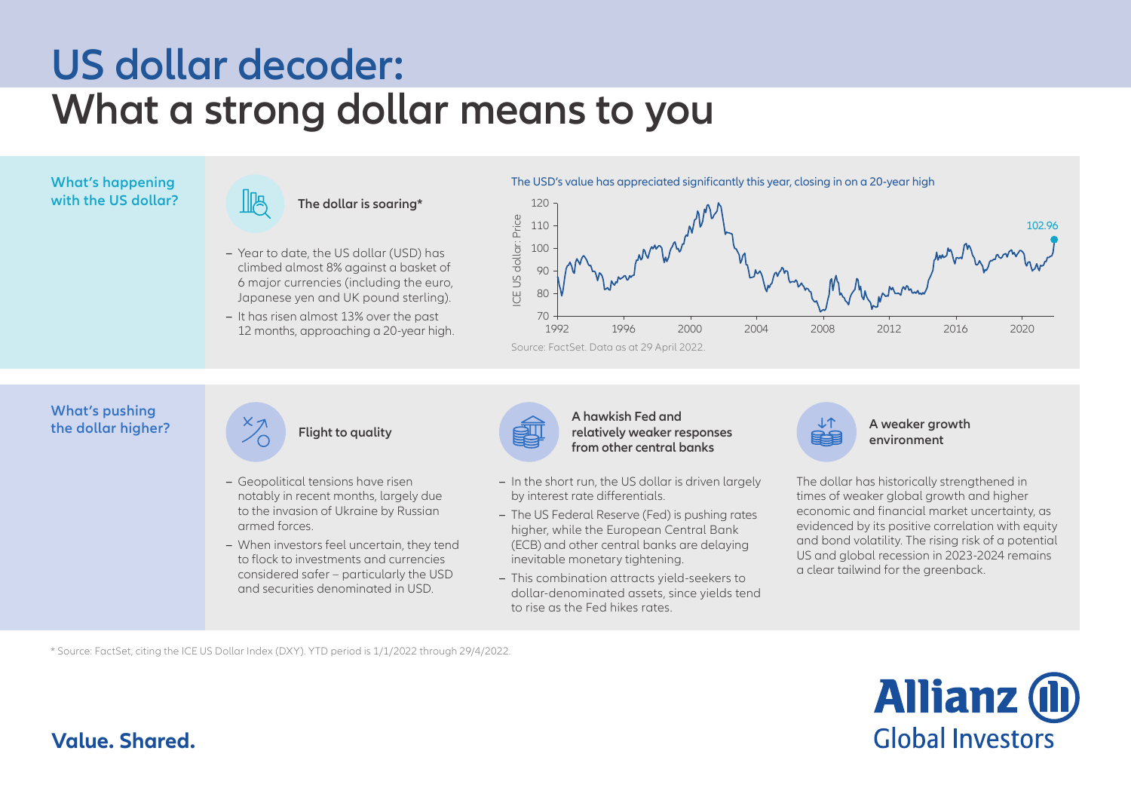# **US dollar decoder: What a strong dollar means to you**

## **with the US dollar?**



- **–** Year to date, the US dollar (USD) has climbed almost 8% against a basket of 6 major currencies (including the euro, Japanese yen and UK pound sterling).
- **–** It has risen almost 13% over the past 12 months, approaching a 20-year high.

**What's happening and the USD's value has appreciated significantly this year, closing in on a 20-year high** 



#### **What's pushing the dollar higher?**



- **–** Geopolitical tensions have risen notably in recent months, largely due to the invasion of Ukraine by Russian armed forces.
- **–** When investors feel uncertain, they tend to flock to investments and currencies considered safer – particularly the USD and securities denominated in USD.



#### **Flight to quality A weaker growth A REPORT CONSTRUCTER A** weaker growth **a** *reference to the second second second second second second second second second second second second second second second second second* **A hawkish Fed and from other central banks**

- **–** In the short run, the US dollar is driven largely by interest rate differentials.
- **–** The US Federal Reserve (Fed) is pushing rates higher, while the European Central Bank (ECB) and other central banks are delaying inevitable monetary tightening.
- **–** This combination attracts yield-seekers to dollar-denominated assets, since yields tend to rise as the Fed hikes rates.



**environment** 

The dollar has historically strengthened in times of weaker global growth and higher economic and financial market uncertainty, as evidenced by its positive correlation with equity and bond volatility. The rising risk of a potential US and global recession in 2023-2024 remains a clear tailwind for the greenback.

\* Source: FactSet, citing the ICE US Dollar Index (DXY). YTD period is 1/1/2022 through 29/4/2022.



### **Value. Shared.**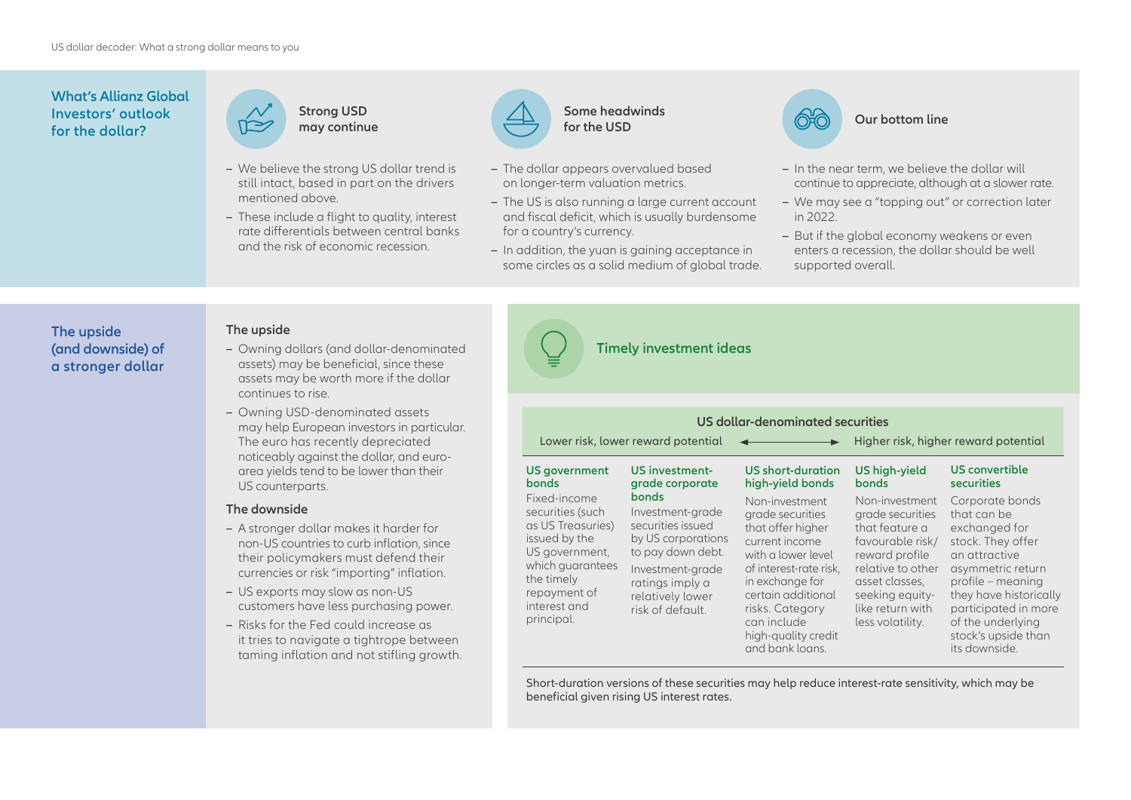#### **What's Allianz Global Investors' outlook for the dollar?**



- **–** We believe the strong US dollar trend is still intact, based in part on the drivers mentioned above.
- **–** These include a flight to quality, interest rate differentials between central banks and the risk of economic recession.



- **–** The dollar appears overvalued based on longer-term valuation metrics.
- **–** The US is also running a large current account and fiscal deficit, which is usually burdensome for a country's currency.
- **–** In addition, the yuan is gaining acceptance in some circles as a solid medium of global trade.



*<u>Our bottom line</u>* 

- **–** In the near term, we believe the dollar will continue to appreciate, although at a slower rate.
- **–** We may see a "topping out" or correction later in 2022.
- **–** But if the global economy weakens or even enters a recession, the dollar should be well supported overall.

#### **The upside (and downside) of a stronger dollar**

#### **The upside**

- **–** Owning dollars (and dollar-denominated assets) may be beneficial, since these assets may be worth more if the dollar continues to rise.
- **–** Owning USD-denominated assets may help European investors in particular. The euro has recently depreciated noticeably against the dollar, and euroarea yields tend to be lower than their US counterparts.

#### **The downside**

- **–** A stronger dollar makes it harder for non-US countries to curb inflation, since their policymakers must defend their currencies or risk "importing" inflation.
- **–** US exports may slow as non-US customers have less purchasing power.
- **–** Risks for the Fed could increase as it tries to navigate a tightrope between taming inflation and not stifling growth.



#### **Timely investment ideas**

| US dollar-denominated securities                                                                                                                                         |                                                                                                                                                                          |                                                                                                                                                                                                                                                |                                                                                                                                                                                              |                                                                                                                                                                                                                                                |
|--------------------------------------------------------------------------------------------------------------------------------------------------------------------------|--------------------------------------------------------------------------------------------------------------------------------------------------------------------------|------------------------------------------------------------------------------------------------------------------------------------------------------------------------------------------------------------------------------------------------|----------------------------------------------------------------------------------------------------------------------------------------------------------------------------------------------|------------------------------------------------------------------------------------------------------------------------------------------------------------------------------------------------------------------------------------------------|
| Lower risk, lower reward potential                                                                                                                                       |                                                                                                                                                                          |                                                                                                                                                                                                                                                | Higher risk, higher reward potential                                                                                                                                                         |                                                                                                                                                                                                                                                |
| US government<br><b>bonds</b>                                                                                                                                            | <b>US investment-</b><br>grade corporate                                                                                                                                 | <b>US</b> short-duration<br>high-yield bonds                                                                                                                                                                                                   | <b>US high-yield</b><br><b>bonds</b>                                                                                                                                                         | US convertible<br><b>securities</b>                                                                                                                                                                                                            |
| Fixed-income<br>securities (such<br>as US Treasuries)<br>issued by the<br>US government,<br>which guarantees<br>the timely<br>repayment of<br>interest and<br>principal. | bonds<br>Investment-grade<br>securities issued<br>by US corporations<br>to pay down debt.<br>Investment-grade<br>ratings imply a<br>relatively lower<br>risk of default. | Non-investment<br>grade securities<br>that offer higher<br>current income<br>with a lower level<br>of interest-rate risk,<br>in exchange for<br>certain additional<br>risks. Category<br>can include<br>high-quality credit<br>and bank loans. | Non-investment<br>grade securities<br>that feature a<br>favourable risk/<br>reward profile<br>relative to other<br>asset classes,<br>seeking equity-<br>like return with<br>less volatility. | Corporate bonds<br>that can be<br>exchanged for<br>stock. They offer<br>an attractive<br>asymmetric return<br>profile – meaning<br>they have historically<br>participated in more<br>of the underlying<br>stock's upside than<br>its downside. |

Short-duration versions of these securities may help reduce interest-rate sensitivity, which may be beneficial given rising US interest rates.